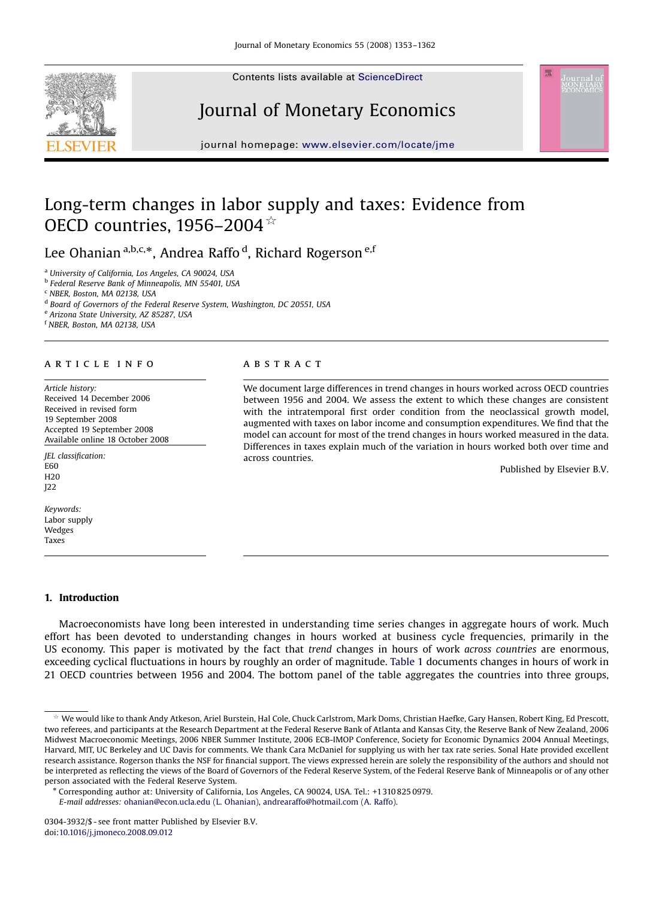Contents lists available at [ScienceDirect](www.sciencedirect.com/science/journal/monec)





journal homepage: <www.elsevier.com/locate/jme>

# Long-term changes in labor supply and taxes: Evidence from OECD countries, 1956–2004 $\frac{\cancel{x}}{\cancel{x}}$

Lee Ohanian <sup>a,b,c,</sup>\*, Andrea Raffo <sup>d</sup>, Richard Rogerson <sup>e,f</sup>

<sup>a</sup> University of California, Los Angeles, CA 90024, USA

<sup>b</sup> Federal Reserve Bank of Minneapolis, MN 55401, USA

<sup>c</sup> NBER, Boston, MA 02138, USA

<sup>d</sup> Board of Governors of the Federal Reserve System, Washington, DC 20551, USA

<sup>e</sup> Arizona State University, AZ 85287, USA

<sup>f</sup> NBER, Boston, MA 02138, USA

# article info

Article history: Received 14 December 2006 Received in revised form 19 September 2008 Accepted 19 September 2008 Available online 18 October 2008

JEL classification: E60 H20 J22

Keywords: Labor supply Wedges Taxes

**ABSTRACT** 

We document large differences in trend changes in hours worked across OECD countries between 1956 and 2004. We assess the extent to which these changes are consistent with the intratemporal first order condition from the neoclassical growth model, augmented with taxes on labor income and consumption expenditures. We find that the model can account for most of the trend changes in hours worked measured in the data. Differences in taxes explain much of the variation in hours worked both over time and across countries.

Published by Elsevier B.V.

# 1. Introduction

Macroeconomists have long been interested in understanding time series changes in aggregate hours of work. Much effort has been devoted to understanding changes in hours worked at business cycle frequencies, primarily in the US economy. This paper is motivated by the fact that *trend* changes in hours of work *across countries* are enormous, exceeding cyclical fluctuations in hours by roughly an order of magnitude. [Table 1](#page-1-0) documents changes in hours of work in 21 OECD countries between 1956 and 2004. The bottom panel of the table aggregates the countries into three groups,

 $*$  We would like to thank Andy Atkeson, Ariel Burstein, Hal Cole, Chuck Carlstrom, Mark Doms, Christian Haefke, Gary Hansen, Robert King, Ed Prescott, two referees, and participants at the Research Department at the Federal Reserve Bank of Atlanta and Kansas City, the Reserve Bank of New Zealand, 2006 Midwest Macroeconomic Meetings, 2006 NBER Summer Institute, 2006 ECB-IMOP Conference, Society for Economic Dynamics 2004 Annual Meetings, Harvard, MIT, UC Berkeley and UC Davis for comments. We thank Cara McDaniel for supplying us with her tax rate series. Sonal Hate provided excellent research assistance. Rogerson thanks the NSF for financial support. The views expressed herein are solely the responsibility of the authors and should not be interpreted as reflecting the views of the Board of Governors of the Federal Reserve System, of the Federal Reserve Bank of Minneapolis or of any other person associated with the Federal Reserve System.

Corresponding author at: University of California, Los Angeles, CA 90024, USA. Tel.: +1310 825 0979.

E-mail addresses: [ohanian@econ.ucla.edu \(L. Ohanian\),](mailto:ohanian@econ.ucla.edu) [andrearaffo@hotmail.com \(A. Raffo\)](mailto:andrearaffo@hotmail.com).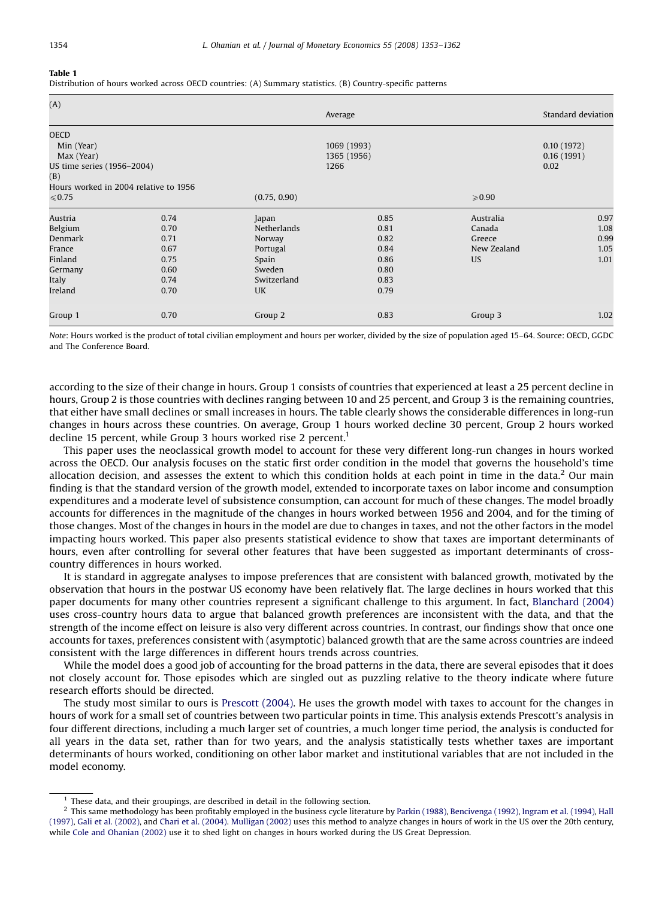#### <span id="page-1-0"></span>Table 1

Distribution of hours worked across OECD countries: (A) Summary statistics. (B) Country-specific patterns

| (A)                                   |      |              |             |                    |            |
|---------------------------------------|------|--------------|-------------|--------------------|------------|
|                                       |      |              | Average     | Standard deviation |            |
| <b>OECD</b>                           |      |              |             |                    |            |
| Min (Year)                            |      |              | 1069 (1993) |                    | 0.10(1972) |
| Max (Year)                            |      |              | 1365 (1956) | 0.16(1991)         |            |
| US time series (1956-2004)            |      |              | 1266        | 0.02               |            |
| (B)                                   |      |              |             |                    |            |
| Hours worked in 2004 relative to 1956 |      |              |             |                    |            |
| $\leq 0.75$                           |      | (0.75, 0.90) |             | $\geqslant 0.90$   |            |
| Austria                               | 0.74 | Japan        | 0.85        | Australia          | 0.97       |
| Belgium                               | 0.70 | Netherlands  | 0.81        | Canada             | 1.08       |
| Denmark                               | 0.71 | Norway       | 0.82        | Greece             | 0.99       |
| France                                | 0.67 | Portugal     | 0.84        | New Zealand        | 1.05       |
| Finland                               | 0.75 | Spain        | 0.86        | <b>US</b>          | 1.01       |
| Germany                               | 0.60 | Sweden       | 0.80        |                    |            |
| Italy                                 | 0.74 | Switzerland  | 0.83        |                    |            |
| Ireland                               | 0.70 | UK           | 0.79        |                    |            |
| Group 1                               | 0.70 | Group 2      | 0.83        | Group 3            | 1.02       |

Note: Hours worked is the product of total civilian employment and hours per worker, divided by the size of population aged 15–64. Source: OECD, GGDC and The Conference Board.

according to the size of their change in hours. Group 1 consists of countries that experienced at least a 25 percent decline in hours, Group 2 is those countries with declines ranging between 10 and 25 percent, and Group 3 is the remaining countries, that either have small declines or small increases in hours. The table clearly shows the considerable differences in long-run changes in hours across these countries. On average, Group 1 hours worked decline 30 percent, Group 2 hours worked decline 15 percent, while Group 3 hours worked rise 2 percent.<sup>1</sup>

This paper uses the neoclassical growth model to account for these very different long-run changes in hours worked across the OECD. Our analysis focuses on the static first order condition in the model that governs the household's time allocation decision, and assesses the extent to which this condition holds at each point in time in the data.<sup>2</sup> Our main finding is that the standard version of the growth model, extended to incorporate taxes on labor income and consumption expenditures and a moderate level of subsistence consumption, can account for much of these changes. The model broadly accounts for differences in the magnitude of the changes in hours worked between 1956 and 2004, and for the timing of those changes. Most of the changes in hours in the model are due to changes in taxes, and not the other factors in the model impacting hours worked. This paper also presents statistical evidence to show that taxes are important determinants of hours, even after controlling for several other features that have been suggested as important determinants of crosscountry differences in hours worked.

It is standard in aggregate analyses to impose preferences that are consistent with balanced growth, motivated by the observation that hours in the postwar US economy have been relatively flat. The large declines in hours worked that this paper documents for many other countries represent a significant challenge to this argument. In fact, [Blanchard \(2004\)](#page-9-0) uses cross-country hours data to argue that balanced growth preferences are inconsistent with the data, and that the strength of the income effect on leisure is also very different across countries. In contrast, our findings show that once one accounts for taxes, preferences consistent with (asymptotic) balanced growth that are the same across countries are indeed consistent with the large differences in different hours trends across countries.

While the model does a good job of accounting for the broad patterns in the data, there are several episodes that it does not closely account for. Those episodes which are singled out as puzzling relative to the theory indicate where future research efforts should be directed.

The study most similar to ours is [Prescott \(2004\)](#page-9-0). He uses the growth model with taxes to account for the changes in hours of work for a small set of countries between two particular points in time. This analysis extends Prescott's analysis in four different directions, including a much larger set of countries, a much longer time period, the analysis is conducted for all years in the data set, rather than for two years, and the analysis statistically tests whether taxes are important determinants of hours worked, conditioning on other labor market and institutional variables that are not included in the model economy.

 $<sup>1</sup>$  These data, and their groupings, are described in detail in the following section.</sup>

 $^2$  This same methodology has been profitably employed in the business cycle literature by [Parkin \(1988\)](#page-9-0), [Bencivenga \(1992\)](#page-9-0), [Ingram et al. \(1994\)](#page-9-0), [Hall](#page-9-0) [\(1997\),](#page-9-0) [Gali et al. \(2002\)](#page-9-0), and [Chari et al. \(2004\).](#page-9-0) [Mulligan \(2002\)](#page-9-0) uses this method to analyze changes in hours of work in the US over the 20th century, while [Cole and Ohanian \(2002\)](#page-9-0) use it to shed light on changes in hours worked during the US Great Depression.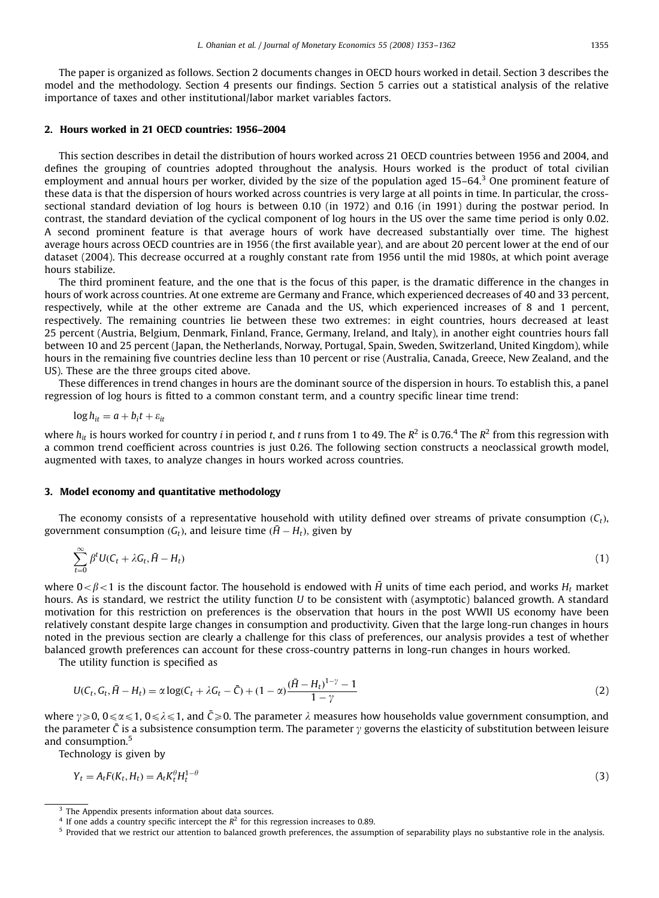The paper is organized as follows. Section 2 documents changes in OECD hours worked in detail. Section 3 describes the model and the methodology. Section 4 presents our findings. Section 5 carries out a statistical analysis of the relative importance of taxes and other institutional/labor market variables factors.

# 2. Hours worked in 21 OECD countries: 1956–2004

This section describes in detail the distribution of hours worked across 21 OECD countries between 1956 and 2004, and defines the grouping of countries adopted throughout the analysis. Hours worked is the product of total civilian employment and annual hours per worker, divided by the size of the population aged 15–64.<sup>3</sup> One prominent feature of these data is that the dispersion of hours worked across countries is very large at all points in time. In particular, the crosssectional standard deviation of log hours is between 0.10 (in 1972) and 0.16 (in 1991) during the postwar period. In contrast, the standard deviation of the cyclical component of log hours in the US over the same time period is only 0.02. A second prominent feature is that average hours of work have decreased substantially over time. The highest average hours across OECD countries are in 1956 (the first available year), and are about 20 percent lower at the end of our dataset (2004). This decrease occurred at a roughly constant rate from 1956 until the mid 1980s, at which point average hours stabilize.

The third prominent feature, and the one that is the focus of this paper, is the dramatic difference in the changes in hours of work across countries. At one extreme are Germany and France, which experienced decreases of 40 and 33 percent, respectively, while at the other extreme are Canada and the US, which experienced increases of 8 and 1 percent, respectively. The remaining countries lie between these two extremes: in eight countries, hours decreased at least 25 percent (Austria, Belgium, Denmark, Finland, France, Germany, Ireland, and Italy), in another eight countries hours fall between 10 and 25 percent (Japan, the Netherlands, Norway, Portugal, Spain, Sweden, Switzerland, United Kingdom), while hours in the remaining five countries decline less than 10 percent or rise (Australia, Canada, Greece, New Zealand, and the US). These are the three groups cited above.

These differences in trend changes in hours are the dominant source of the dispersion in hours. To establish this, a panel regression of log hours is fitted to a common constant term, and a country specific linear time trend:

$$
\log h_{it} = a + b_i t + \varepsilon_{it}
$$

where  $h_{it}$  is hours worked for country *i* in period *t*, and *t* runs from 1 to 49. The  $R^2$  is 0.76.<sup>4</sup> The  $R^2$  from this regression with a common trend coefficient across countries is just 0.26. The following section constructs a neoclassical growth model, augmented with taxes, to analyze changes in hours worked across countries.

#### 3. Model economy and quantitative methodology

The economy consists of a representative household with utility defined over streams of private consumption  $(C_t)$ , government consumption (G<sub>t</sub>), and leisure time ( $\bar{H}$  –  $H_t$ ), given by

$$
\sum_{t=0}^{\infty} \beta^t U(C_t + \lambda G_t, \bar{H} - H_t)
$$
\n(1)

where  $0<\beta<1$  is the discount factor. The household is endowed with H units of time each period, and works H<sub>t</sub> market hours. As is standard, we restrict the utility function U to be consistent with (asymptotic) balanced growth. A standard motivation for this restriction on preferences is the observation that hours in the post WWII US economy have been relatively constant despite large changes in consumption and productivity. Given that the large long-run changes in hours noted in the previous section are clearly a challenge for this class of preferences, our analysis provides a test of whether balanced growth preferences can account for these cross-country patterns in long-run changes in hours worked.

The utility function is specified as

$$
U(C_t, G_t, \bar{H} - H_t) = \alpha \log(C_t + \lambda G_t - \bar{C}) + (1 - \alpha) \frac{(\bar{H} - H_t)^{1 - \gamma} - 1}{1 - \gamma}
$$
\n(2)

where  $\gamma \geq 0$ ,  $0 \leq \alpha \leq 1$ ,  $0 \leq \lambda \leq 1$ , and  $\bar{C} \geq 0$ . The parameter  $\lambda$  measures how households value government consumption, and the parameter  $\bar{C}$  is a subsistence consumption term. The parameter  $\gamma$  governs the elasticity of substitution between leisure and consumption.<sup>5</sup>

Technology is given by

$$
Y_t = A_t F(K_t, H_t) = A_t K_t^{\theta} H_t^{1-\theta}
$$
\n<sup>(3)</sup>

The Appendix presents information about data sources.

<sup>&</sup>lt;sup>4</sup> If one adds a country specific intercept the  $R^2$  for this regression increases to 0.89.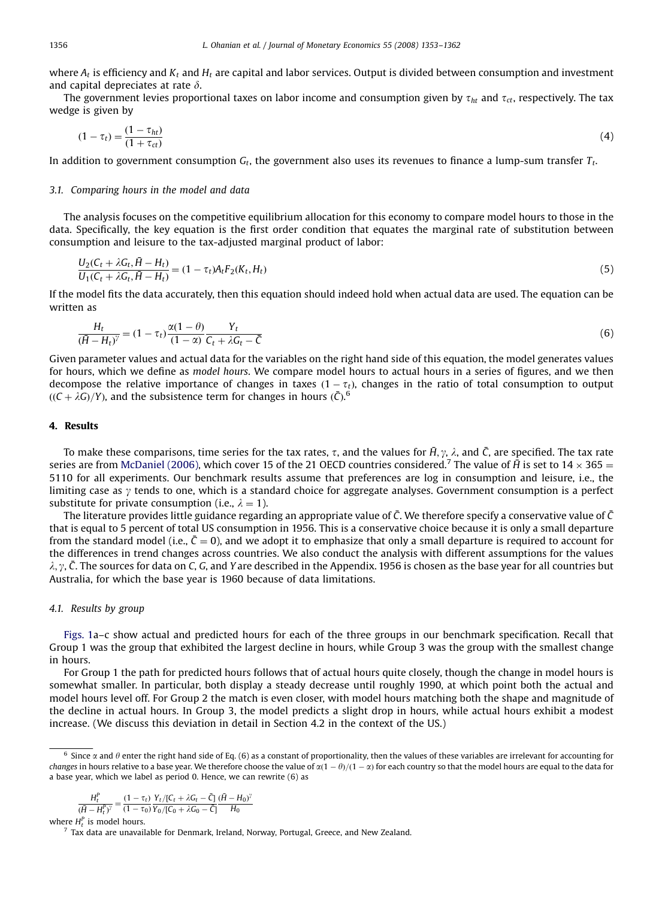where  $A_t$  is efficiency and  $K_t$  and  $H_t$  are capital and labor services. Output is divided between consumption and investment and capital depreciates at rate  $\delta$ .

The government levies proportional taxes on labor income and consumption given by  $\tau_{bt}$  and  $\tau_{ct}$ , respectively. The tax wedge is given by

$$
(1 - \tau_t) = \frac{(1 - \tau_{ht})}{(1 + \tau_{ct})} \tag{4}
$$

In addition to government consumption  $G_t$ , the government also uses its revenues to finance a lump-sum transfer  $T_t$ .

#### 3.1. Comparing hours in the model and data

The analysis focuses on the competitive equilibrium allocation for this economy to compare model hours to those in the data. Specifically, the key equation is the first order condition that equates the marginal rate of substitution between consumption and leisure to the tax-adjusted marginal product of labor:

$$
\frac{U_2(C_t + \lambda G_t, \bar{H} - H_t)}{U_1(C_t + \lambda G_t, \bar{H} - H_t)} = (1 - \tau_t)A_t F_2(K_t, H_t)
$$
\n
$$
(5)
$$

If the model fits the data accurately, then this equation should indeed hold when actual data are used. The equation can be written as

$$
\frac{H_t}{(\bar{H} - H_t)^{\gamma}} = (1 - \tau_t) \frac{\alpha (1 - \theta)}{(1 - \alpha)} \frac{Y_t}{C_t + \lambda G_t - \bar{C}}
$$
(6)

Given parameter values and actual data for the variables on the right hand side of this equation, the model generates values for hours, which we define as model hours. We compare model hours to actual hours in a series of figures, and we then decompose the relative importance of changes in taxes  $(1 - \tau_t)$ , changes in the ratio of total consumption to output  $((C + \lambda G)/Y)$ , and the subsistence term for changes in hours  $(\bar{C})$ .<sup>6</sup>

## 4. Results

To make these comparisons, time series for the tax rates,  $\tau$ , and the values for  $\bar{H}$ ,  $\gamma$ ,  $\lambda$ , and  $\bar{C}$ , are specified. The tax rate series are from [McDaniel \(2006\),](#page-9-0) which cover 15 of the 21 OECD countries considered.<sup>7</sup> The value of  $\bar{H}$  is set to 14  $\times$  365 = 5110 for all experiments. Our benchmark results assume that preferences are log in consumption and leisure, i.e., the limiting case as  $\gamma$  tends to one, which is a standard choice for aggregate analyses. Government consumption is a perfect substitute for private consumption (i.e.,  $\lambda = 1$ ).

The literature provides little guidance regarding an appropriate value of  $\bar{c}$ . We therefore specify a conservative value of  $\bar{c}$ that is equal to 5 percent of total US consumption in 1956. This is a conservative choice because it is only a small departure from the standard model (i.e.,  $\bar{C}=0$ ), and we adopt it to emphasize that only a small departure is required to account for the differences in trend changes across countries. We also conduct the analysis with different assumptions for the values  $\lambda$ ,  $\gamma$ , C. The sources for data on C, G, and Y are described in the Appendix. 1956 is chosen as the base year for all countries but Australia, for which the base year is 1960 because of data limitations.

#### 4.1. Results by group

[Figs. 1](#page-4-0)a–c show actual and predicted hours for each of the three groups in our benchmark specification. Recall that Group 1 was the group that exhibited the largest decline in hours, while Group 3 was the group with the smallest change in hours.

For Group 1 the path for predicted hours follows that of actual hours quite closely, though the change in model hours is somewhat smaller. In particular, both display a steady decrease until roughly 1990, at which point both the actual and model hours level off. For Group 2 the match is even closer, with model hours matching both the shape and magnitude of the decline in actual hours. In Group 3, the model predicts a slight drop in hours, while actual hours exhibit a modest increase. (We discuss this deviation in detail in Section 4.2 in the context of the US.)

$$
\frac{H_t^P}{(\bar{H} - H_t^P)^\gamma} = \frac{(1 - \tau_t) Y_t / [C_t + \lambda G_t - \bar{C}] (\bar{H} - H_0)^\gamma}{(1 - \tau_0) Y_0 / [C_0 + \lambda G_0 - \bar{C}]} \frac{(\bar{H} - H_0)^\gamma}{H_0}
$$

where  $H_t^P$  is model hours.

<sup>&</sup>lt;sup>6</sup> Since  $\alpha$  and  $\theta$  enter the right hand side of Eq. (6) as a constant of proportionality, then the values of these variables are irrelevant for accounting for *changes* in hours relative to a base year. We therefore choose the value of  $\alpha(1-\theta)/(1-\alpha)$  for each country so that the model hours are equal to the data for a base year, which we label as period 0. Hence, we can rewrite (6) as

 $^7$  Tax data are unavailable for Denmark, Ireland, Norway, Portugal, Greece, and New Zealand.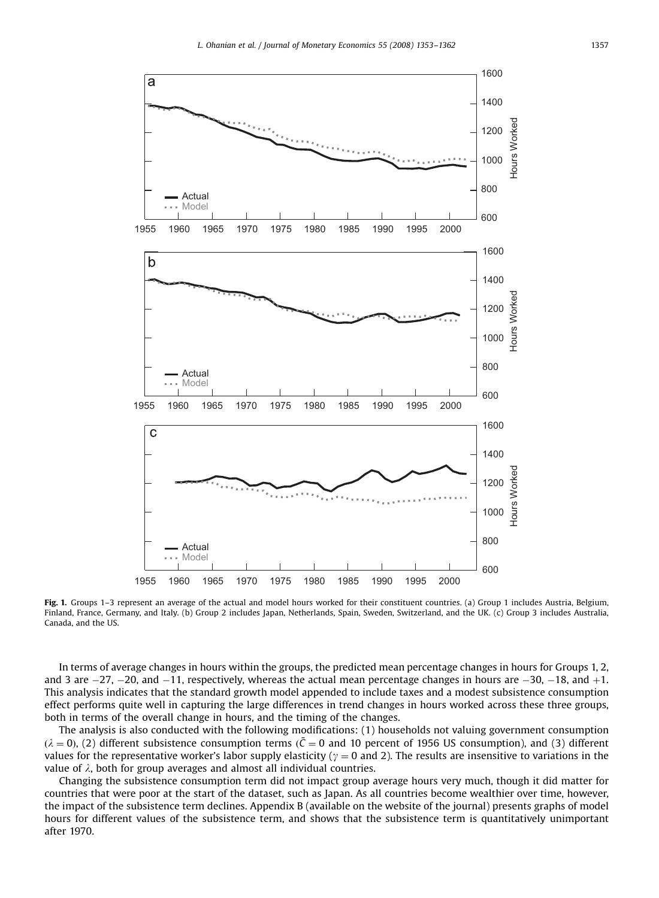<span id="page-4-0"></span>

Fig. 1. Groups 1–3 represent an average of the actual and model hours worked for their constituent countries. (a) Group 1 includes Austria, Belgium, Finland, France, Germany, and Italy. (b) Group 2 includes Japan, Netherlands, Spain, Sweden, Switzerland, and the UK. (c) Group 3 includes Australia, Canada, and the US.

In terms of average changes in hours within the groups, the predicted mean percentage changes in hours for Groups 1, 2, and 3 are  $-27$ ,  $-20$ , and  $-11$ , respectively, whereas the actual mean percentage changes in hours are  $-30$ ,  $-18$ , and  $+1$ . This analysis indicates that the standard growth model appended to include taxes and a modest subsistence consumption effect performs quite well in capturing the large differences in trend changes in hours worked across these three groups, both in terms of the overall change in hours, and the timing of the changes.

The analysis is also conducted with the following modifications: (1) households not valuing government consumption  $(\lambda = 0)$ , (2) different subsistence consumption terms ( $\bar{C} = 0$  and 10 percent of 1956 US consumption), and (3) different values for the representative worker's labor supply elasticity ( $\gamma = 0$  and 2). The results are insensitive to variations in the value of  $\lambda$ , both for group averages and almost all individual countries.

Changing the subsistence consumption term did not impact group average hours very much, though it did matter for countries that were poor at the start of the dataset, such as Japan. As all countries become wealthier over time, however, the impact of the subsistence term declines. Appendix B (available on the website of the journal) presents graphs of model hours for different values of the subsistence term, and shows that the subsistence term is quantitatively unimportant after 1970.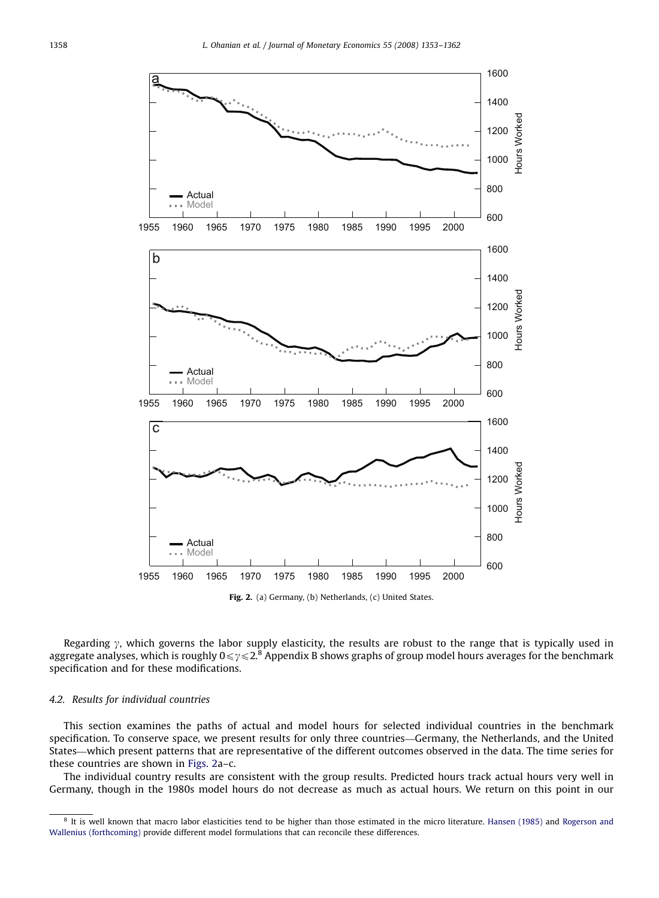

Fig. 2. (a) Germany, (b) Netherlands, (c) United States.

Regarding  $\gamma$ , which governs the labor supply elasticity, the results are robust to the range that is typically used in aggregate analyses, which is roughly  $0 \le \gamma \le 2.8$  Appendix B shows graphs of group model hours averages for the benchmark specification and for these modifications.

#### 4.2. Results for individual countries

This section examines the paths of actual and model hours for selected individual countries in the benchmark specification. To conserve space, we present results for only three countries—Germany, the Netherlands, and the United States—which present patterns that are representative of the different outcomes observed in the data. The time series for these countries are shown in Figs. 2a–c.

The individual country results are consistent with the group results. Predicted hours track actual hours very well in Germany, though in the 1980s model hours do not decrease as much as actual hours. We return on this point in our

<sup>&</sup>lt;sup>8</sup> It is well known that macro labor elasticities tend to be higher than those estimated in the micro literature. [Hansen \(1985\)](#page-9-0) and [Rogerson and](#page-9-0) [Wallenius \(forthcoming\)](#page-9-0) provide different model formulations that can reconcile these differences.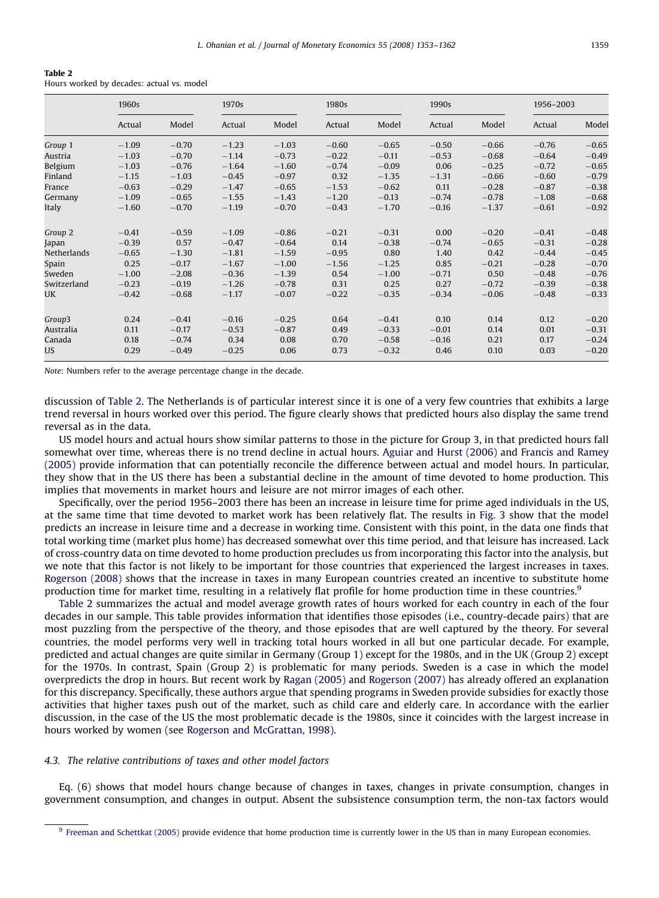| Table 2                                   |  |  |
|-------------------------------------------|--|--|
| Hours worked by decades: actual vs. model |  |  |

|             | 1960s   |         | 1970s   |         | 1980s   |         | 1990s   |         | 1956-2003 |         |
|-------------|---------|---------|---------|---------|---------|---------|---------|---------|-----------|---------|
|             | Actual  | Model   | Actual  | Model   | Actual  | Model   | Actual  | Model   | Actual    | Model   |
| Group 1     | $-1.09$ | $-0.70$ | $-1.23$ | $-1.03$ | $-0.60$ | $-0.65$ | $-0.50$ | $-0.66$ | $-0.76$   | $-0.65$ |
| Austria     | $-1.03$ | $-0.70$ | $-1.14$ | $-0.73$ | $-0.22$ | $-0.11$ | $-0.53$ | $-0.68$ | $-0.64$   | $-0.49$ |
| Belgium     | $-1.03$ | $-0.76$ | $-1.64$ | $-1.60$ | $-0.74$ | $-0.09$ | 0.06    | $-0.25$ | $-0.72$   | $-0.65$ |
| Finland     | $-1.15$ | $-1.03$ | $-0.45$ | $-0.97$ | 0.32    | $-1.35$ | $-1.31$ | $-0.66$ | $-0.60$   | $-0.79$ |
| France      | $-0.63$ | $-0.29$ | $-1.47$ | $-0.65$ | $-1.53$ | $-0.62$ | 0.11    | $-0.28$ | $-0.87$   | $-0.38$ |
| Germany     | $-1.09$ | $-0.65$ | $-1.55$ | $-1.43$ | $-1.20$ | $-0.13$ | $-0.74$ | $-0.78$ | $-1.08$   | $-0.68$ |
| Italy       | $-1.60$ | $-0.70$ | $-1.19$ | $-0.70$ | $-0.43$ | $-1.70$ | $-0.16$ | $-1.37$ | $-0.61$   | $-0.92$ |
| Group 2     | $-0.41$ | $-0.59$ | $-1.09$ | $-0.86$ | $-0.21$ | $-0.31$ | 0.00    | $-0.20$ | $-0.41$   | $-0.48$ |
| Japan       | $-0.39$ | 0.57    | $-0.47$ | $-0.64$ | 0.14    | $-0.38$ | $-0.74$ | $-0.65$ | $-0.31$   | $-0.28$ |
| Netherlands | $-0.65$ | $-1.30$ | $-1.81$ | $-1.59$ | $-0.95$ | 0.80    | 1.40    | 0.42    | $-0.44$   | $-0.45$ |
| Spain       | 0.25    | $-0.17$ | $-1.67$ | $-1.00$ | $-1.56$ | $-1.25$ | 0.85    | $-0.21$ | $-0.28$   | $-0.70$ |
| Sweden      | $-1.00$ | $-2.08$ | $-0.36$ | $-1.39$ | 0.54    | $-1.00$ | $-0.71$ | 0.50    | $-0.48$   | $-0.76$ |
| Switzerland | $-0.23$ | $-0.19$ | $-1.26$ | $-0.78$ | 0.31    | 0.25    | 0.27    | $-0.72$ | $-0.39$   | $-0.38$ |
| UK          | $-0.42$ | $-0.68$ | $-1.17$ | $-0.07$ | $-0.22$ | $-0.35$ | $-0.34$ | $-0.06$ | $-0.48$   | $-0.33$ |
| Group3      | 0.24    | $-0.41$ | $-0.16$ | $-0.25$ | 0.64    | $-0.41$ | 0.10    | 0.14    | 0.12      | $-0.20$ |
| Australia   | 0.11    | $-0.17$ | $-0.53$ | $-0.87$ | 0.49    | $-0.33$ | $-0.01$ | 0.14    | 0.01      | $-0.31$ |
| Canada      | 0.18    | $-0.74$ | 0.34    | 0.08    | 0.70    | $-0.58$ | $-0.16$ | 0.21    | 0.17      | $-0.24$ |
| US          | 0.29    | $-0.49$ | $-0.25$ | 0.06    | 0.73    | $-0.32$ | 0.46    | 0.10    | 0.03      | $-0.20$ |

Note: Numbers refer to the average percentage change in the decade.

discussion of Table 2. The Netherlands is of particular interest since it is one of a very few countries that exhibits a large trend reversal in hours worked over this period. The figure clearly shows that predicted hours also display the same trend reversal as in the data.

US model hours and actual hours show similar patterns to those in the picture for Group 3, in that predicted hours fall somewhat over time, whereas there is no trend decline in actual hours. [Aguiar and Hurst \(2006\)](#page-9-0) and [Francis and Ramey](#page-9-0) [\(2005\)](#page-9-0) provide information that can potentially reconcile the difference between actual and model hours. In particular, they show that in the US there has been a substantial decline in the amount of time devoted to home production. This implies that movements in market hours and leisure are not mirror images of each other.

Specifically, over the period 1956–2003 there has been an increase in leisure time for prime aged individuals in the US, at the same time that time devoted to market work has been relatively flat. The results in [Fig. 3](#page-7-0) show that the model predicts an increase in leisure time and a decrease in working time. Consistent with this point, in the data one finds that total working time (market plus home) has decreased somewhat over this time period, and that leisure has increased. Lack of cross-country data on time devoted to home production precludes us from incorporating this factor into the analysis, but we note that this factor is not likely to be important for those countries that experienced the largest increases in taxes. [Rogerson \(2008\)](#page-9-0) shows that the increase in taxes in many European countries created an incentive to substitute home production time for market time, resulting in a relatively flat profile for home production time in these countries.9

Table 2 summarizes the actual and model average growth rates of hours worked for each country in each of the four decades in our sample. This table provides information that identifies those episodes (i.e., country-decade pairs) that are most puzzling from the perspective of the theory, and those episodes that are well captured by the theory. For several countries, the model performs very well in tracking total hours worked in all but one particular decade. For example, predicted and actual changes are quite similar in Germany (Group 1) except for the 1980s, and in the UK (Group 2) except for the 1970s. In contrast, Spain (Group 2) is problematic for many periods. Sweden is a case in which the model overpredicts the drop in hours. But recent work by [Ragan \(2005\)](#page-9-0) and [Rogerson \(2007\)](#page-9-0) has already offered an explanation for this discrepancy. Specifically, these authors argue that spending programs in Sweden provide subsidies for exactly those activities that higher taxes push out of the market, such as child care and elderly care. In accordance with the earlier discussion, in the case of the US the most problematic decade is the 1980s, since it coincides with the largest increase in hours worked by women (see [Rogerson and McGrattan, 1998\)](#page-9-0).

#### 4.3. The relative contributions of taxes and other model factors

Eq. (6) shows that model hours change because of changes in taxes, changes in private consumption, changes in government consumption, and changes in output. Absent the subsistence consumption term, the non-tax factors would

<sup>&</sup>lt;sup>9</sup> [Freeman and Schettkat \(2005\)](#page-9-0) provide evidence that home production time is currently lower in the US than in many European economies.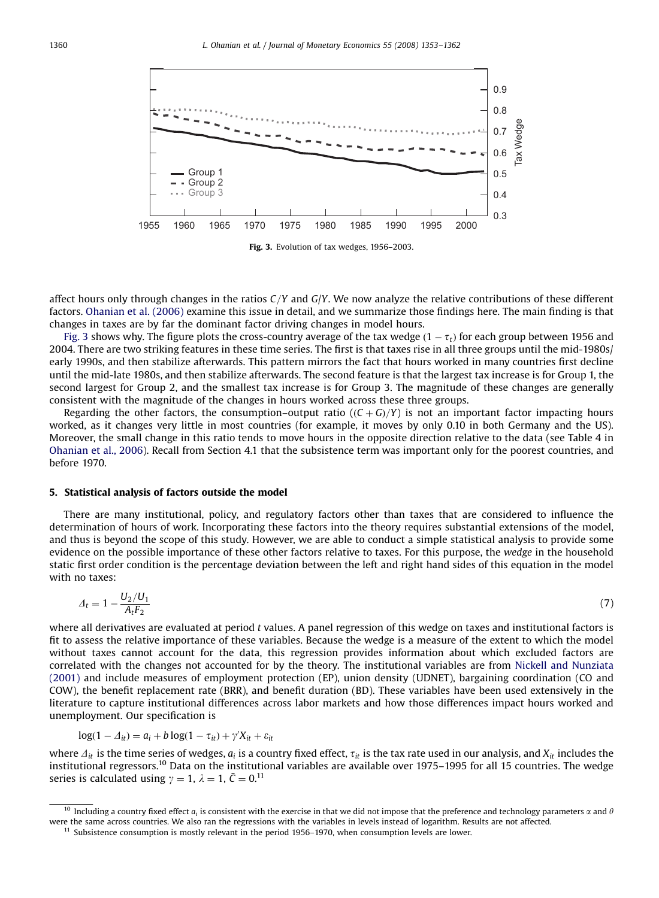<span id="page-7-0"></span>

Fig. 3. Evolution of tax wedges, 1956–2003.

affect hours only through changes in the ratios  $C/Y$  and  $G/Y$ . We now analyze the relative contributions of these different factors. [Ohanian et al. \(2006\)](#page-9-0) examine this issue in detail, and we summarize those findings here. The main finding is that changes in taxes are by far the dominant factor driving changes in model hours.

Fig. 3 shows why. The figure plots the cross-country average of the tax wedge  $(1-\tau_t)$  for each group between 1956 and 2004. There are two striking features in these time series. The first is that taxes rise in all three groups until the mid-1980s/ early 1990s, and then stabilize afterwards. This pattern mirrors the fact that hours worked in many countries first decline until the mid-late 1980s, and then stabilize afterwards. The second feature is that the largest tax increase is for Group 1, the second largest for Group 2, and the smallest tax increase is for Group 3. The magnitude of these changes are generally consistent with the magnitude of the changes in hours worked across these three groups.

Regarding the other factors, the consumption–output ratio  $((C+G)/Y)$  is not an important factor impacting hours worked, as it changes very little in most countries (for example, it moves by only 0.10 in both Germany and the US). Moreover, the small change in this ratio tends to move hours in the opposite direction relative to the data (see Table 4 in [Ohanian et al., 2006](#page-9-0)). Recall from Section 4.1 that the subsistence term was important only for the poorest countries, and before 1970.

#### 5. Statistical analysis of factors outside the model

There are many institutional, policy, and regulatory factors other than taxes that are considered to influence the determination of hours of work. Incorporating these factors into the theory requires substantial extensions of the model, and thus is beyond the scope of this study. However, we are able to conduct a simple statistical analysis to provide some evidence on the possible importance of these other factors relative to taxes. For this purpose, the wedge in the household static first order condition is the percentage deviation between the left and right hand sides of this equation in the model with no taxes:

$$
A_t = 1 - \frac{U_2 / U_1}{A_t F_2} \tag{7}
$$

where all derivatives are evaluated at period  $t$  values. A panel regression of this wedge on taxes and institutional factors is fit to assess the relative importance of these variables. Because the wedge is a measure of the extent to which the model without taxes cannot account for the data, this regression provides information about which excluded factors are correlated with the changes not accounted for by the theory. The institutional variables are from [Nickell and Nunziata](#page-9-0) [\(2001\)](#page-9-0) and include measures of employment protection (EP), union density (UDNET), bargaining coordination (CO and COW), the benefit replacement rate (BRR), and benefit duration (BD). These variables have been used extensively in the literature to capture institutional differences across labor markets and how those differences impact hours worked and unemployment. Our specification is

 $log(1 - \Delta_{it}) = a_i + b \log(1 - \tau_{it}) + \gamma' X_{it} + \varepsilon_{it}$ 

where  $\Delta_{it}$  is the time series of wedges,  $a_i$  is a country fixed effect,  $\tau_{it}$  is the tax rate used in our analysis, and  $X_{it}$  includes the institutional regressors.10 Data on the institutional variables are available over 1975–1995 for all 15 countries. The wedge series is calculated using  $\gamma = 1$ ,  $\lambda = 1$ ,  $\bar{C} = 0$ .<sup>11</sup>

<sup>&</sup>lt;sup>10</sup> Including a country fixed effect  $a_i$  is consistent with the exercise in that we did not impose that the preference and technology parameters  $\alpha$  and  $\theta$ were the same across countries. We also ran the regressions with the variables in levels instead of logarithm. Results are not affected.

 $11$  Subsistence consumption is mostly relevant in the period 1956–1970, when consumption levels are lower.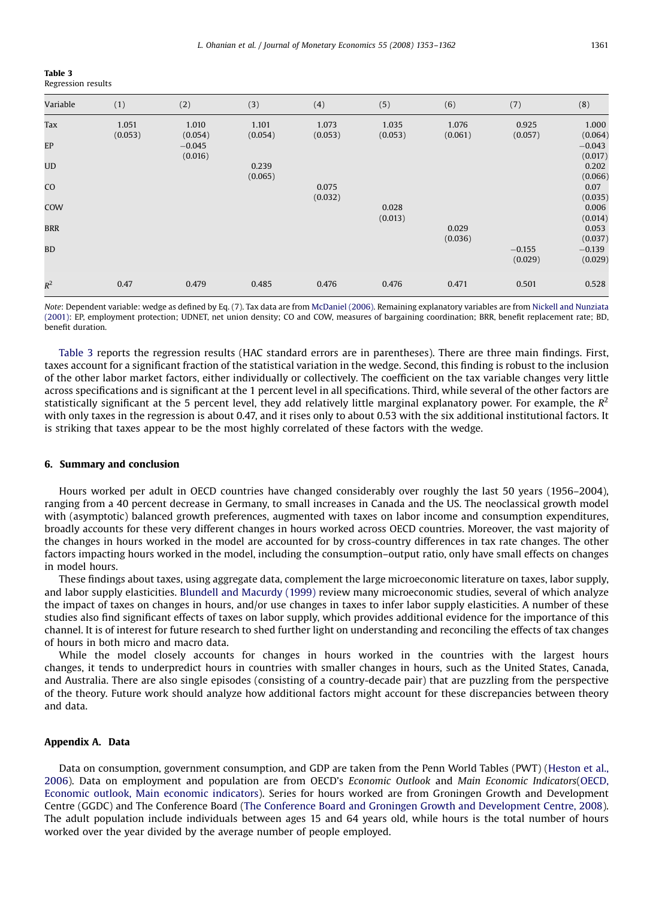Regression results

| Variable   | (1)     | (2)                 | (3)     | (4)     | (5)     | (6)     | (7)                 | (8)                 |
|------------|---------|---------------------|---------|---------|---------|---------|---------------------|---------------------|
| Tax        | 1.051   | 1.010               | 1.101   | 1.073   | 1.035   | 1.076   | 0.925               | 1.000               |
|            | (0.053) | (0.054)             | (0.054) | (0.053) | (0.053) | (0.061) | (0.057)             | (0.064)             |
| EP         |         | $-0.045$<br>(0.016) |         |         |         |         |                     | $-0.043$<br>(0.017) |
| UD         |         |                     | 0.239   |         |         |         |                     | 0.202               |
|            |         |                     | (0.065) |         |         |         |                     | (0.066)             |
| CO         |         |                     |         | 0.075   |         |         |                     | 0.07                |
|            |         |                     |         | (0.032) |         |         |                     | (0.035)             |
| COW        |         |                     |         |         | 0.028   |         |                     | 0.006               |
|            |         |                     |         |         | (0.013) |         |                     | (0.014)             |
| <b>BRR</b> |         |                     |         |         |         | 0.029   |                     | 0.053               |
|            |         |                     |         |         |         | (0.036) |                     | (0.037)             |
| <b>BD</b>  |         |                     |         |         |         |         | $-0.155$<br>(0.029) | $-0.139$<br>(0.029) |
|            |         |                     |         |         |         |         |                     |                     |
|            |         |                     |         |         |         |         |                     |                     |
| $R^2$      | 0.47    | 0.479               | 0.485   | 0.476   | 0.476   | 0.471   | 0.501               | 0.528               |

Note: Dependent variable: wedge as defined by Eq. (7). Tax data are from [McDaniel \(2006\).](#page-9-0) Remaining explanatory variables are from [Nickell and Nunziata](#page-9-0) [\(2001\)](#page-9-0): EP, employment protection; UDNET, net union density; CO and COW, measures of bargaining coordination; BRR, benefit replacement rate; BD, benefit duration.

Table 3 reports the regression results (HAC standard errors are in parentheses). There are three main findings. First, taxes account for a significant fraction of the statistical variation in the wedge. Second, this finding is robust to the inclusion of the other labor market factors, either individually or collectively. The coefficient on the tax variable changes very little across specifications and is significant at the 1 percent level in all specifications. Third, while several of the other factors are statistically significant at the 5 percent level, they add relatively little marginal explanatory power. For example, the  $R^2$ with only taxes in the regression is about 0.47, and it rises only to about 0.53 with the six additional institutional factors. It is striking that taxes appear to be the most highly correlated of these factors with the wedge.

#### 6. Summary and conclusion

Hours worked per adult in OECD countries have changed considerably over roughly the last 50 years (1956–2004), ranging from a 40 percent decrease in Germany, to small increases in Canada and the US. The neoclassical growth model with (asymptotic) balanced growth preferences, augmented with taxes on labor income and consumption expenditures, broadly accounts for these very different changes in hours worked across OECD countries. Moreover, the vast majority of the changes in hours worked in the model are accounted for by cross-country differences in tax rate changes. The other factors impacting hours worked in the model, including the consumption–output ratio, only have small effects on changes in model hours.

These findings about taxes, using aggregate data, complement the large microeconomic literature on taxes, labor supply, and labor supply elasticities. [Blundell and Macurdy \(1999\)](#page-9-0) review many microeconomic studies, several of which analyze the impact of taxes on changes in hours, and/or use changes in taxes to infer labor supply elasticities. A number of these studies also find significant effects of taxes on labor supply, which provides additional evidence for the importance of this channel. It is of interest for future research to shed further light on understanding and reconciling the effects of tax changes of hours in both micro and macro data.

While the model closely accounts for changes in hours worked in the countries with the largest hours changes, it tends to underpredict hours in countries with smaller changes in hours, such as the United States, Canada, and Australia. There are also single episodes (consisting of a country-decade pair) that are puzzling from the perspective of the theory. Future work should analyze how additional factors might account for these discrepancies between theory and data.

#### Appendix A. Data

Data on consumption, government consumption, and GDP are taken from the Penn World Tables (PWT) [\(Heston et al.,](#page-9-0) [2006](#page-9-0)). Data on employment and population are from OECD's Economic Outlook and Main Economic Indicators([OECD,](#page-9-0) [Economic outlook, Main economic indicators\)](#page-9-0). Series for hours worked are from Groningen Growth and Development Centre (GGDC) and The Conference Board ([The Conference Board and Groningen Growth and Development Centre, 2008](#page-9-0)). The adult population include individuals between ages 15 and 64 years old, while hours is the total number of hours worked over the year divided by the average number of people employed.